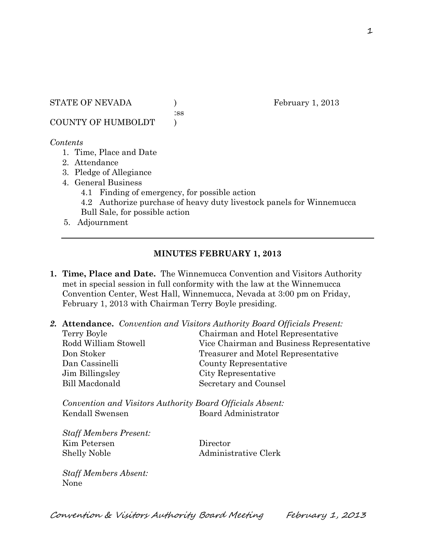STATE OF NEVADA (a) February 1, 2013

:ss

COUNTY OF HUMBOLDT )

#### *Contents*

- 1. Time, Place and Date
- 2. Attendance
- 3. Pledge of Allegiance
- 4. General Business
	- 4.1 Finding of emergency, for possible action
	- 4.2 Authorize purchase of heavy duty livestock panels for Winnemucca Bull Sale, for possible action
- 5. Adjournment

## **MINUTES FEBRUARY 1, 2013**

- **1. Time, Place and Date.** The Winnemucca Convention and Visitors Authority met in special session in full conformity with the law at the Winnemucca Convention Center, West Hall, Winnemucca, Nevada at 3:00 pm on Friday, February 1, 2013 with Chairman Terry Boyle presiding.
- *2.* **Attendance.** *Convention and Visitors Authority Board Officials Present:*

| Terry Boyle          | Chairman and Hotel Representative         |
|----------------------|-------------------------------------------|
| Rodd William Stowell | Vice Chairman and Business Representative |
| Don Stoker           | Treasurer and Motel Representative        |
| Dan Cassinelli       | County Representative                     |
| Jim Billingsley      | City Representative                       |
| Bill Macdonald       | Secretary and Counsel                     |
|                      |                                           |

*Convention and Visitors Authority Board Officials Absent:* Kendall Swensen Board Administrator

*Staff Members Present:* Kim Petersen Director Shelly Noble Administrative Clerk

*Staff Members Absent:* None

Convention & Visitors Authority Board Meeting February 1, 2013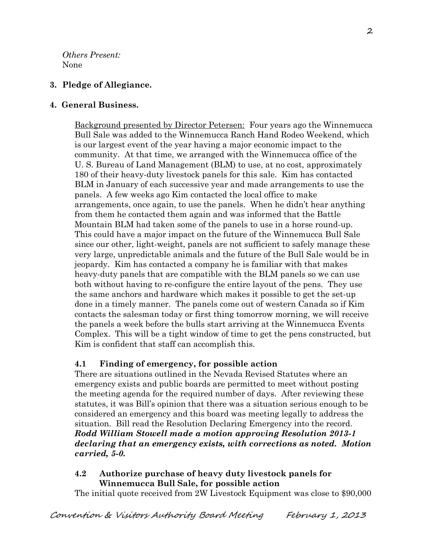*Others Present:* None

# **3. Pledge of Allegiance.**

### **4. General Business.**

Background presented by Director Petersen: Four years ago the Winnemucca Bull Sale was added to the Winnemucca Ranch Hand Rodeo Weekend, which is our largest event of the year having a major economic impact to the community. At that time, we arranged with the Winnemucca office of the U. S. Bureau of Land Management (BLM) to use, at no cost, approximately 180 of their heavy-duty livestock panels for this sale. Kim has contacted BLM in January of each successive year and made arrangements to use the panels. A few weeks ago Kim contacted the local office to make arrangements, once again, to use the panels. When he didn't hear anything from them he contacted them again and was informed that the Battle Mountain BLM had taken some of the panels to use in a horse round-up. This could have a major impact on the future of the Winnemucca Bull Sale since our other, light-weight, panels are not sufficient to safely manage these very large, unpredictable animals and the future of the Bull Sale would be in jeopardy. Kim has contacted a company he is familiar with that makes heavy-duty panels that are compatible with the BLM panels so we can use both without having to re-configure the entire layout of the pens. They use the same anchors and hardware which makes it possible to get the set-up done in a timely manner. The panels come out of western Canada so if Kim contacts the salesman today or first thing tomorrow morning, we will receive the panels a week before the bulls start arriving at the Winnemucca Events Complex. This will be a tight window of time to get the pens constructed, but Kim is confident that staff can accomplish this.

## **4.1 Finding of emergency, for possible action**

There are situations outlined in the Nevada Revised Statutes where an emergency exists and public boards are permitted to meet without posting the meeting agenda for the required number of days. After reviewing these statutes, it was Bill's opinion that there was a situation serious enough to be considered an emergency and this board was meeting legally to address the situation. Bill read the Resolution Declaring Emergency into the record. *Rodd William Stowell made a motion approving Resolution 2013-1 declaring that an emergency exists, with corrections as noted. Motion carried, 5-0.* 

# **4.2 Authorize purchase of heavy duty livestock panels for Winnemucca Bull Sale, for possible action**

The initial quote received from 2W Livestock Equipment was close to \$90,000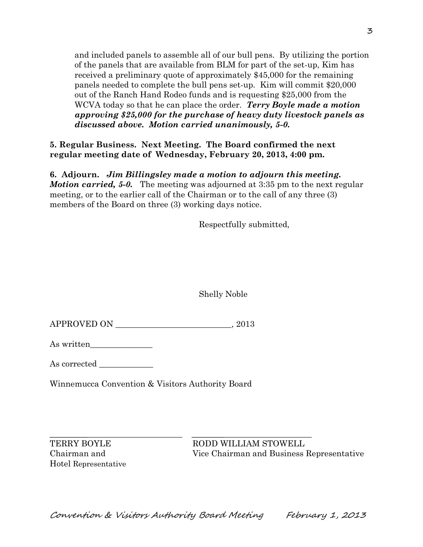and included panels to assemble all of our bull pens. By utilizing the portion of the panels that are available from BLM for part of the set-up, Kim has received a preliminary quote of approximately \$45,000 for the remaining panels needed to complete the bull pens set-up. Kim will commit \$20,000 out of the Ranch Hand Rodeo funds and is requesting \$25,000 from the WCVA today so that he can place the order. *Terry Boyle made a motion approving \$25,000 for the purchase of heavy duty livestock panels as discussed above. Motion carried unanimously, 5-0.* 

**5. Regular Business. Next Meeting. The Board confirmed the next regular meeting date of Wednesday, February 20, 2013, 4:00 pm.** 

**6. Adjourn.** *Jim Billingsley made a motion to adjourn this meeting. Motion carried, 5-0.* The meeting was adjourned at 3:35 pm to the next regular meeting, or to the earlier call of the Chairman or to the call of any three (3) members of the Board on three (3) working days notice.

Respectfully submitted,

Shelly Noble

APPROVED ON \_\_\_\_\_\_\_\_\_\_\_\_\_\_\_\_\_\_\_\_\_\_\_\_\_\_\_\_, 2013

As written\_\_\_\_\_\_\_\_\_\_\_\_\_\_\_

As corrected  $\_\_$ 

Winnemucca Convention & Visitors Authority Board

Hotel Representative

\_\_\_\_\_\_\_\_\_\_\_\_\_\_\_\_\_\_\_\_\_\_\_\_\_\_\_\_\_\_\_\_ \_\_\_\_\_\_\_\_\_\_\_\_\_\_\_\_\_\_\_\_\_\_\_\_\_\_\_\_\_ TERRY BOYLE RODD WILLIAM STOWELL Chairman and Vice Chairman and Business Representative

Convention & Visitors Authority Board Meeting February 1, 2013